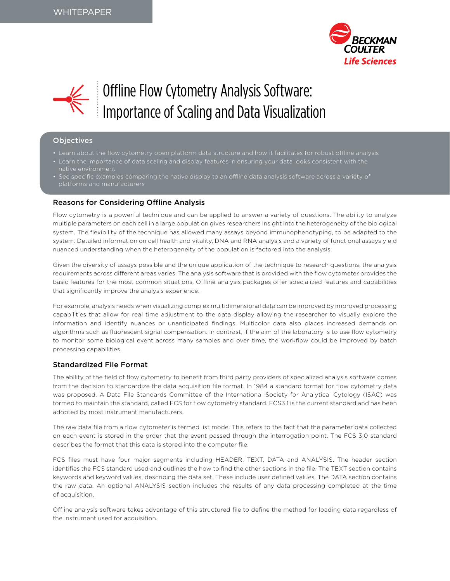



# Offline Flow Cytometry Analysis Software: Importance of Scaling and Data Visualization

## Objectives

- Learn about the flow cytometry open platform data structure and how it facilitates for robust offline analysis
- In the importance of data scaling and display features in ensuring your data looks consistent with the native environment
- platforms and manufacturers

## Reasons for Considering Offline Analysis

Flow cytometry is a powerful technique and can be applied to answer a variety of questions. The ability to analyze multiple parameters on each cell in a large population gives researchers insight into the heterogeneity of the biological system. The flexibility of the technique has allowed many assays beyond immunophenotyping, to be adapted to the system. Detailed information on cell health and vitality, DNA and RNA analysis and a variety of functional assays yield nuanced understanding when the heterogeneity of the population is factored into the analysis.

Given the diversity of assays possible and the unique application of the technique to research questions, the analysis requirements across different areas varies. The analysis software that is provided with the flow cytometer provides the basic features for the most common situations. Offline analysis packages offer specialized features and capabilities that significantly improve the analysis experience.

For example, analysis needs when visualizing complex multidimensional data can be improved by improved processing capabilities that allow for real time adjustment to the data display allowing the researcher to visually explore the information and identify nuances or unanticipated findings. Multicolor data also places increased demands on algorithms such as fluorescent signal compensation. In contrast, if the aim of the laboratory is to use flow cytometry to monitor some biological event across many samples and over time, the workflow could be improved by batch processing capabilities.

## Standardized File Format

The ability of the field of flow cytometry to benefit from third party providers of specialized analysis software comes from the decision to standardize the data acquisition file format. In 1984 a standard format for flow cytometry data was proposed. A Data File Standards Committee of the International Society for Analytical Cytology (ISAC) was formed to maintain the standard, called FCS for flow cytometry standard. FCS3.1 is the current standard and has been adopted by most instrument manufacturers.

The raw data file from a flow cytometer is termed list mode. This refers to the fact that the parameter data collected on each event is stored in the order that the event passed through the interrogation point. The FCS 3.0 standard describes the format that this data is stored into the computer file.

FCS files must have four major segments including HEADER, TEXT, DATA and ANALYSIS. The header section identifies the FCS standard used and outlines the how to find the other sections in the file. The TEXT section contains keywords and keyword values, describing the data set. These include user defined values. The DATA section contains the raw data. An optional ANALYSIS section includes the results of any data processing completed at the time of acquisition.

Offline analysis software takes advantage of this structured file to define the method for loading data regardless of the instrument used for acquisition.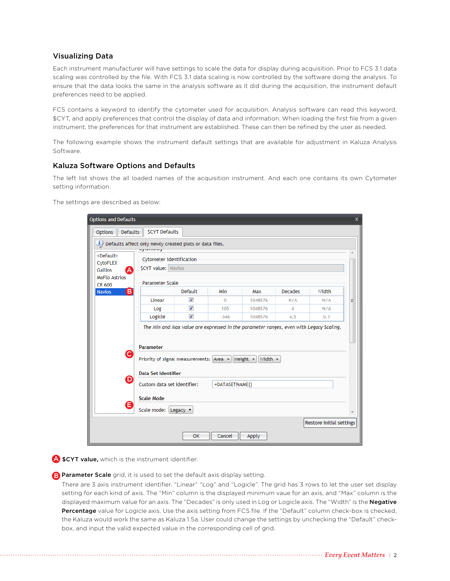## Visualizing Data

Each instrument manufacturer will have settings to scale the data for display during acquisition. Prior to FCS 3.1 data scaling was controlled by the file. With FCS 3.1 data scaling is now controlled by the software doing the analysis. To ensure that the data looks the same in the analysis software as it did during the acquisition, the instrument default preferences need to be applied.

FCS contains a keyword to identify the cytometer used for acquisition. Analysis software can read this keyword, \$CYT, and apply preferences that control the display of data and information. When loading the first file from a given instrument, the preferences for that instrument are established. These can then be refined by the user as needed.

The following example shows the instrument default settings that are available for adjustment in Kaluza Analysis Software.

## Kaluza Software Options and Defaults

The left list shows the all loaded names of the acquisition instrument. And each one contains its own Cytometer setting information.

The settings are described as below:

| <b>Options and Defaults</b>                                            |                                                                                                                       |                          |                |              |                |                          | x |
|------------------------------------------------------------------------|-----------------------------------------------------------------------------------------------------------------------|--------------------------|----------------|--------------|----------------|--------------------------|---|
| <b>Defaults</b><br><b>Options</b>                                      | <b>SCYT Defaults</b>                                                                                                  |                          |                |              |                |                          |   |
| i.<br>Defaults affect only newly created plots or data files.          |                                                                                                                       |                          |                |              |                |                          |   |
| ay como cry<br><default><br/><b>Cytometer Identification</b></default> |                                                                                                                       |                          |                |              |                |                          |   |
| CytoFLEX<br><b>Gallios</b><br>Ά                                        | <b>\$CYT value: Navios</b>                                                                                            |                          |                |              |                |                          |   |
| <b>MoFlo Astrios</b>                                                   |                                                                                                                       |                          |                |              |                |                          |   |
| CR 600                                                                 | Parameter Scale                                                                                                       |                          |                |              |                |                          |   |
| $\left( \mathsf{B}\right)$<br><b>Navios</b>                            |                                                                                                                       | Default                  | Min            | Max          | <b>Decades</b> | Width                    |   |
|                                                                        | Linear                                                                                                                | $\overline{\mathcal{L}}$ | $\mathbf{0}$   | 1048576      | N/A            | N/A                      | Ξ |
|                                                                        | Log                                                                                                                   | $\overline{\mathcal{L}}$ | 105            | 1048576      | 4              | N/A                      |   |
|                                                                        | Logicle                                                                                                               | $\overline{\mathcal{L}}$ | $-346$         | 1048576      | 4.5            | 0.1                      |   |
| 'C                                                                     | <b>Parameter</b><br>Priority of signal measurements: $ Area \cdot   $ Height $\cdot   $<br><b>Data Set Identifier</b> |                          |                | Width $\sim$ |                |                          |   |
| D)                                                                     | Custom data set identifier:                                                                                           |                          | =DATASETNAME() |              |                |                          |   |
|                                                                        | <b>Scale Mode</b>                                                                                                     |                          |                |              |                |                          |   |
| Ε                                                                      | Scale mode: Legacy ▼                                                                                                  |                          |                |              |                |                          |   |
|                                                                        |                                                                                                                       |                          |                |              |                | Restore initial settings |   |
|                                                                        |                                                                                                                       | OK                       | Cancel         | Apply        |                |                          |   |

A \$CYT value, which is the instrument identifier.

**B.** Parameter Scale grid, it is used to set the default axis display setting.

 There are 3 axis instrument identifier. "Linear" "Log" and "Logicle". The grid has 3 rows to let the user set display setting for each kind of axis. The "Min" column is the displayed minimum vaue for an axis, and "Max" column is the displayed maximum value for an axis. The "Decades" is only used in Log or Logicle axis. The "Width" is the Negative Percentage value for Logicle axis. Use the axis setting from FCS file. If the "Default" column check-box is checked, the Kaluza would work the same as Kaluza 1.5a. User could change the settings by unchecking the "Default" checkbox, and input the valid expected value in the corresponding cell of grid.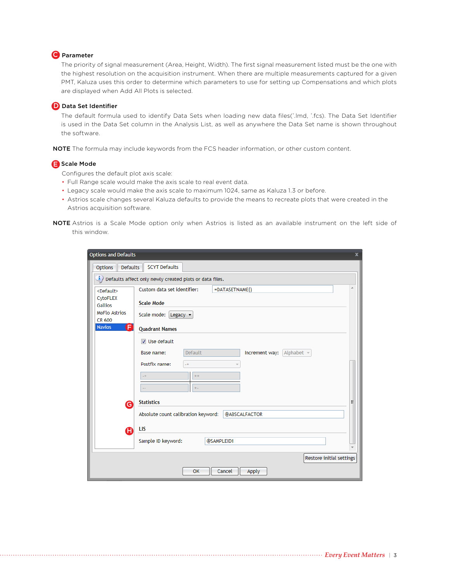## C Parameter

The priority of signal measurement (Area, Height, Width). The first signal measurement listed must be the one with the highest resolution on the acquisition instrument. When there are multiple measurements captured for a given PMT, Kaluza uses this order to determine which parameters to use for setting up Compensations and which plots are displayed when Add All Plots is selected.

## D Data Set Identifier

The default formula used to identify Data Sets when loading new data files(\* .lmd, \* .fcs). The Data Set Identifier is used in the Data Set column in the Analysis List, as well as anywhere the Data Set name is shown throughout the software.

NOTE The formula may include keywords from the FCS header information, or other custom content.

## Scale Mode

Configures the default plot axis scale:

- Full Range scale would make the axis scale to real event data.
- Legacy scale would make the axis scale to maximum 1024, same as Kaluza 1.3 or before.
- Astrios scale changes several Kaluza defaults to provide the means to recreate plots that were created in the Astrios acquisition software.
- NOTE Astrios is a Scale Mode option only when Astrios is listed as an available instrument on the left side of this window.

| <b>Options and Defaults</b>                                               | $\mathbf x$ |  |  |  |  |  |  |
|---------------------------------------------------------------------------|-------------|--|--|--|--|--|--|
| <b>SCYT Defaults</b><br>Defaults<br><b>Options</b>                        |             |  |  |  |  |  |  |
| $\mathbf{i}$ ) Defaults affect only newly created plots or data files.    |             |  |  |  |  |  |  |
| Custom data set identifier:<br>=DATASETNAME()<br><default></default>      |             |  |  |  |  |  |  |
| CytoFLEX<br><b>Scale Mode</b><br><b>Gallios</b>                           |             |  |  |  |  |  |  |
| <b>MoFlo Astrios</b><br>Scale mode: Legacy $\blacktriangledown$<br>CR 600 |             |  |  |  |  |  |  |
| Ē<br><b>Navios</b><br><b>Quadrant Names</b>                               |             |  |  |  |  |  |  |
| $\triangledown$ Use default                                               |             |  |  |  |  |  |  |
| Default<br>Increment way: Alphabet v<br>Base name:                        |             |  |  |  |  |  |  |
| Postfix name:<br>$-+$                                                     |             |  |  |  |  |  |  |
| $++$<br>$-+$                                                              |             |  |  |  |  |  |  |
| $+ -$<br>н.                                                               |             |  |  |  |  |  |  |
| <b>Statistics</b><br>Ξ<br>$\mathbf \Theta$                                |             |  |  |  |  |  |  |
| Absolute count calibration keyword:<br><b>@ABSCALFACTOR</b>               |             |  |  |  |  |  |  |
| LIS<br>A                                                                  |             |  |  |  |  |  |  |
| Sample ID keyword:<br>@SAMPLEID1                                          |             |  |  |  |  |  |  |
|                                                                           |             |  |  |  |  |  |  |
| Restore initial settings                                                  |             |  |  |  |  |  |  |
| OK<br>Cancel<br>Apply                                                     |             |  |  |  |  |  |  |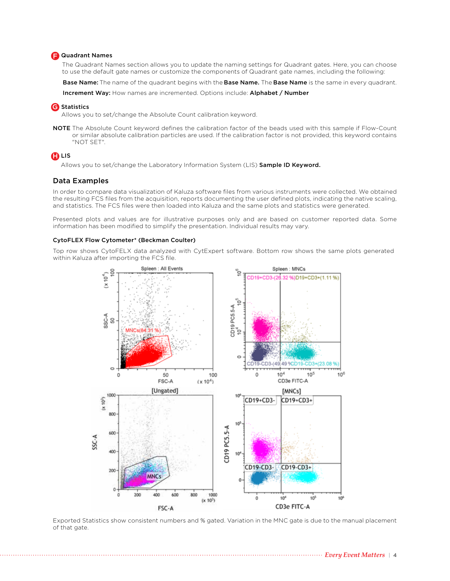## **F.** Quadrant Names

The Quadrant Names section allows you to update the naming settings for Quadrant gates. Here, you can choose to use the default gate names or customize the components of Quadrant gate names, including the following:

Base Name: The name of the quadrant begins with the Base Name. The Base Name is the same in every quadrant.

Increment Way: How names are incremented. Options include: Alphabet / Number

## **G** Statistics

Allows you to set/change the Absolute Count calibration keyword.

NOTE The Absolute Count keyword defines the calibration factor of the beads used with this sample if Flow-Count or similar absolute calibration particles are used. If the calibration factor is not provided, this keyword contains "NOT SET".

## $\bf B$  Lis

Allows you to set/change the Laboratory Information System (LIS) Sample ID Keyword.

## Data Examples

In order to compare data visualization of Kaluza software files from various instruments were collected. We obtained the resulting FCS files from the acquisition, reports documenting the user defined plots, indicating the native scaling, and statistics. The FCS files were then loaded into Kaluza and the same plots and statistics were generated.

Presented plots and values are for illustrative purposes only and are based on customer reported data. Some information has been modified to simplify the presentation. Individual results may vary.

#### CytoFLEX Flow Cytometer\* (Beckman Coulter)

Top row shows CytoFELX data analyzed with CytExpert software. Bottom row shows the same plots generated within Kaluza after importing the FCS file.



Exported Statistics show consistent numbers and % gated. Variation in the MNC gate is due to the manual placement of that gate.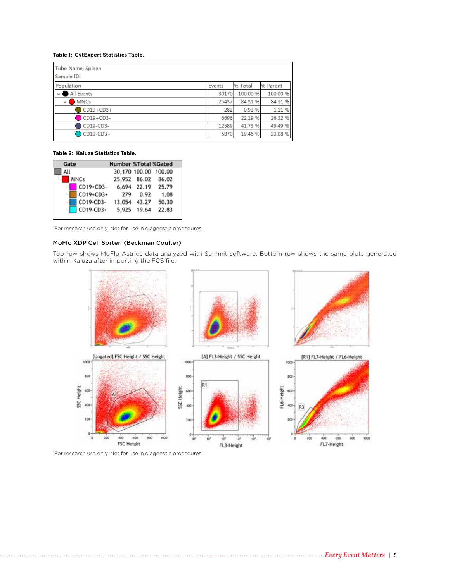#### **Table 1: CytExpert Statistics Table.**

| Tube Name: Spleen<br>Sample ID: |        |          |          |
|---------------------------------|--------|----------|----------|
| Population                      | Events | % Total  | % Parent |
| All Events<br>$\vee$ 1          | 30170  | 100.00 % | 100.00 % |
| <b>MNCs</b><br>$\vee$ 1         | 25437  | 84.31 %  | 84.31 %  |
| $CD19+CD3+$                     | 282    | 0.93 %   | 1.11 %   |
| CD19+CD3-                       | 6696   | 22.19 %  | 26.32 %  |
| CD19-CD3-                       | 12589  | 41.73 %  | 49.49 %  |
| CD19-CD3+                       | 5870   | 19.46 %  | 23.08 %  |

#### **Table 2: Kaluza Statistics Table.**

| Gate |             | <b>Number %Total %Gated</b> |              |                      |
|------|-------------|-----------------------------|--------------|----------------------|
| All  |             |                             |              | 30,170 100.00 100.00 |
|      | <b>MNCs</b> |                             |              | 25,952 86.02 86.02   |
|      | CD19+CD3-   |                             |              | 6,694 22.19 25.79    |
|      | CD19+CD3+   | 279                         | 0.92         | 1.08                 |
|      | CD19-CD3-   |                             | 13,054 43.27 | 50.30                |
|      | CD19-CD3+   |                             | 5,925 19.64  | 22.83                |

\* For research use only. Not for use in diagnostic procedures.

#### MoFlo XDP Cell Sorter\* (Beckman Coulter)

Top row shows MoFlo Astrios data analyzed with Summit software. Bottom row shows the same plots generated within Kaluza after importing the FCS file.



\* For research use only. Not for use in diagnostic procedures.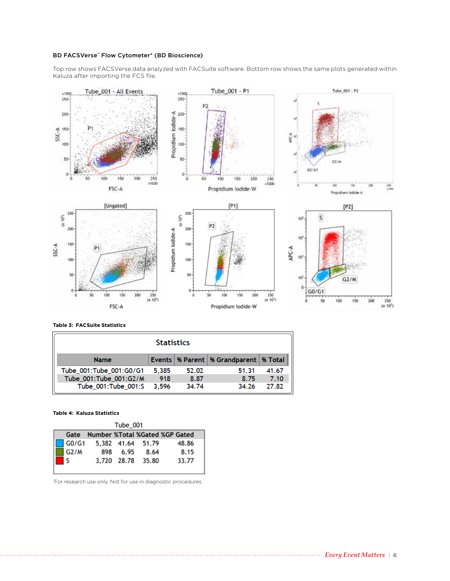#### BD FACSVerse™ Flow Cytometer\* (BD Bioscience)

Top row shows FACSVerse data analyzed with FACSuite software. Bottom row shows the same plots generated within Kaluza after importing the FCS file.



#### **Table 3: FACSuite Statistics**

| <b>Statistics</b>                                            |       |       |       |       |  |  |  |
|--------------------------------------------------------------|-------|-------|-------|-------|--|--|--|
| Events   % Parent   % Grandparent   % Total  <br><b>Name</b> |       |       |       |       |  |  |  |
| Tube_001:Tube_001:G0/G1                                      | 5,385 | 52.02 | 51.31 | 41.67 |  |  |  |
| Tube_001:Tube_001:G2/M                                       | 918   | 8.87  | 8.75  | 7.10  |  |  |  |
| Tube 001:Tube 001:S                                          | 3.596 | 34.74 | 34.26 | 27.82 |  |  |  |

## **Table 4: Kaluza Statistics**

| Tube 001          |  |          |                   |                                |  |  |  |
|-------------------|--|----------|-------------------|--------------------------------|--|--|--|
| Gate              |  |          |                   | Number %Total %Gated %GP Gated |  |  |  |
| G0/G1             |  |          | 5,382 41.64 51.79 | 48.86                          |  |  |  |
| G <sub>2</sub> /M |  | 898 6.95 | 8.64              | 8.15                           |  |  |  |
| l s               |  |          | 3,720 28.78 35.80 | 33.77                          |  |  |  |
|                   |  |          |                   |                                |  |  |  |

\* For research use only. Not for use in diagnostic procedures.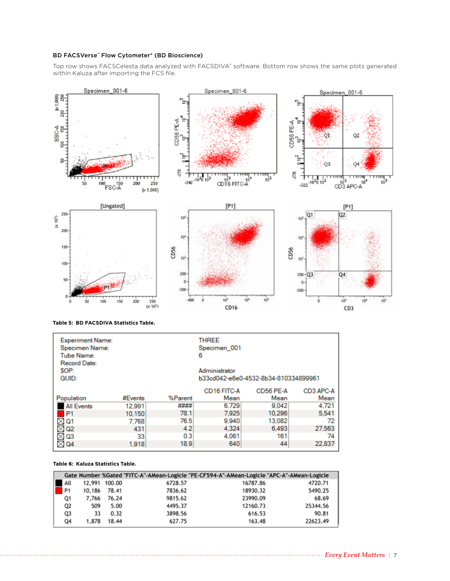#### BD FACSVerse™ Flow Cytometer\* (BD Bioscience)

Top row shows FACSCelesta data analyzed with FACSDIVA™ software. Bottom row shows the same plots generated within Kaluza after importing the FCS file.



|  |  | Table 5: BD FACSDIVA Statistics Table. |  |  |
|--|--|----------------------------------------|--|--|
|--|--|----------------------------------------|--|--|

| <b>Experiment Name:</b><br>Specimen Name:<br><b>Tube Name:</b><br>Record Date: |         |         | <b>THREE</b><br>Specimen_001<br>6 |                                      |                   |
|--------------------------------------------------------------------------------|---------|---------|-----------------------------------|--------------------------------------|-------------------|
| SOP:                                                                           |         |         | Administrator                     |                                      |                   |
| GUID:                                                                          |         |         |                                   | b33cd042-e6e0-4532-8b34-810334899961 |                   |
| Population                                                                     | #Events | %Parent | <b>CD16 FITC-A</b><br>Mean        | CD56 PE-A<br>Mean                    | CD3 APC-A<br>Mean |
| <b>All Events</b>                                                              | 12.991  | ####    | 6.729                             | 9.042                                | 4.721             |
|                                                                                |         |         |                                   |                                      |                   |
| P1                                                                             | 10,150  | 78.1    | 7.925                             | 10.296                               | 5,541             |
| $\times$ Q1                                                                    | 7.768   | 76.5    | 9.940                             | 13,082                               | 72                |
| Q <sub>2</sub><br>×.                                                           | 431     | 4.2     | 4.324                             | 6.493                                | 27.563            |
| $\times$ Q3                                                                    | 33      | 0.3     | 4,061                             | 161                                  | 74                |
| $\times$ Q4                                                                    | 1.918   | 18.9    | 640                               | 44                                   | 22.837            |

#### **Table 6: Kaluza Statistics Table.**

|                |        |               |         | Gate Number %Gated "FITC-A"-AMean-Logicle "PE-CF594-A"-AMean-Logicle "APC-A"-AMean-Logicle |          |
|----------------|--------|---------------|---------|--------------------------------------------------------------------------------------------|----------|
| All            |        | 12,991 100.00 | 6728.57 | 16787.86                                                                                   | 4720.71  |
| P <sub>1</sub> | 10,186 | 78.41         | 7836.62 | 18930.32                                                                                   | 5490.25  |
| Q1             | 7.766  | 76.24         | 9815.62 | 23990.09                                                                                   | 68.69    |
| Q2             | 509    | 5.00          | 4495.37 | 12160.73                                                                                   | 25344.56 |
| Q3             | 33     | 0.32          | 3898.56 | 616.53                                                                                     | 90.81    |
| Q4             | 1,878  | 18.44         | 627.75  | 163.48                                                                                     | 22623.49 |